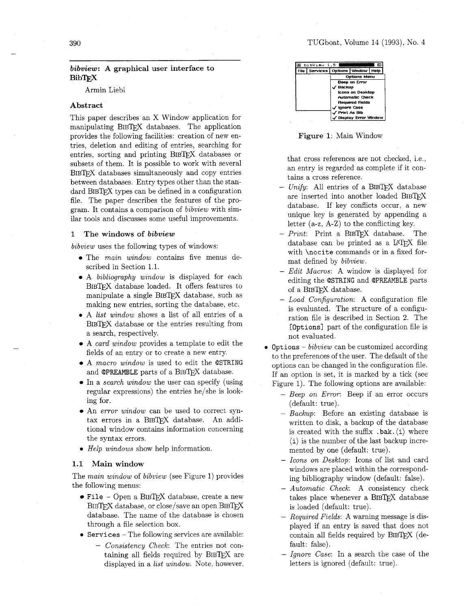# TUGboat, Volume 14 (1993), No. 4

# *bibview: A* **graphical user interface to BibTFX**

Armin Liebl

# **Abstract**

This paper describes an X Window application for manipulating BIBTEX databases. The application provides the following facilities: creation of new entries, deletion and editing of entries, searching for entries, sorting and printing BIBTFX databases or subsets of them. It is possible to work with several BIBTFX databases simultaneously and copy entries between databases. Entry types other than the standard BIBTFX types can be defined in a configuration file. The paper describes the features of the program. It contains a comparison of bibuiew with similar tools and discusses some useful improvements.

## **1 The windows of** *bibview*

bibuiew uses the following types of windows:

- The *main window* contains five menus described in Section 1.1.
- A bibliography window is displayed for each BIBTFX database loaded. It offers features to manipulate a single BIBTFX database, such as making new entries, sorting the database, etc.
- **0** A list window shows a list of all entries of a BIBTFX database or the entries resulting from a search, respectively.
- A card window provides a template to edit the fields of an entry or to create a new entry.
- A macro window is used to edit the **QSTRING**  and **@PREAMBLE** parts of a BIBT<sub>E</sub>X database.
- In a search window the user can specify (using regular expressions) the entries he/she is looking for.
- An *error window* can be used to correct syntax errors in a BIBTEX database. An additional window contains information concerning the syntax errors.
- **0** Help windows show help information.

## **1.1 Main window**

The main window of bibyiew (see Figure 1) provides the following menus:

- File Open a BIBT<sub>E</sub>X database, create a new  $BIBTFX$  database, or close/save an open  $BIBTFX$ database. The name of the database is chosen through a file selection box.
- **<sup>0</sup>Services**  The following services are available:
	- Consistency Check: The entries not containing all fields required by BIBTEX are displayed in a list window. Note, however,

| bibView 1.5                        |                         |                        |      |
|------------------------------------|-------------------------|------------------------|------|
| File   Services   Options   Window |                         |                        | Help |
|                                    |                         | <b>Options Menu</b>    |      |
|                                    |                         | <b>Beep on Error</b>   |      |
|                                    | Backup                  |                        |      |
|                                    | <b>Icons on Desktop</b> |                        |      |
|                                    | <b>Automatic Check</b>  |                        |      |
|                                    |                         | <b>Required Fields</b> |      |
|                                    | <b>Ignore Case</b>      |                        |      |
|                                    | Print As Bib            |                        |      |
|                                    |                         | / Display Error Window |      |

**Figure 1:** Main Window

that cross references are not checked, i.e., an entry is regarded as complete if it contains a cross reference.

- $-$  Unify: All entries of a BIBTEX database are inserted into another loaded BIB^ database. If key conflicts occur, a new unique key is generated by appending a letter  $(a-z, A-Z)$  to the conflicting key.
- $-$  Print: Print a BIBTEX database. The database can be printed as a LATFX file with **\nocite** commands or in a fixed format defined by bibuiew.
- Edit Macros: A window is displayed for editing the **QSTRING** and **@PREAMBLE** parts of a BIBTFX database.
- $-$  Load Configuration: A configuration file is evaluated. The structure of a configuration file is described in Section **2.** The **[Options]** part of the configuration file is not evaluated.
- **<sup>0</sup>Options**  bibuiew can be customized according to the preferences of the user. The default of the options can be changed in the configuration file. If an option is set, it is marked by a tick (see Figure 1). The following options are available:
	- Beep on Error: Beep if an error occurs (default: true).
	- Backup: Before an existing database is written to disk, a backup of the database is created with the suffix **.bak.** (i) where  $\langle i \rangle$  is the number of the last backup incremented by one (default: true).
	- Icons on Desktop: Icons of list and card windows are placed within the corresponding bibliography window (default: false).
	- Automatic Check: A consistency check takes place whenever a BIBTFX database is loaded (default: true).
	- Required Fields: A warning message is displayed if an entry is saved that does not contain all fields required by  $BIBT$  $K$  (default: false).
	- Ignore Case: In a search the case of the letters is ignored (default: true).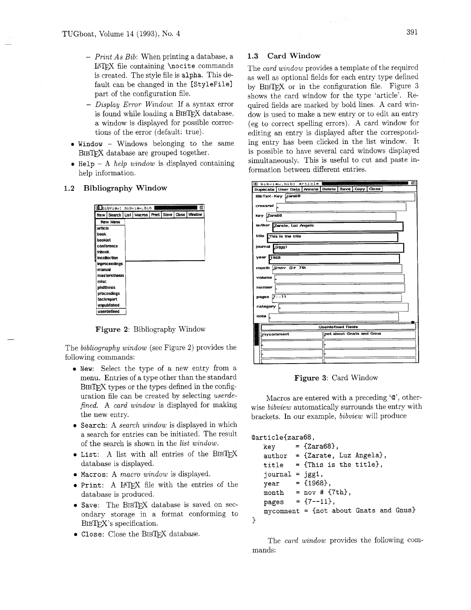- *Print As Bib:* When printing a database, a LAT<sub>F</sub>X file containing \nocite commands is created. The style file is alpha. This default can be changed in the [StyleFile] part of the configuration file.
- *Display Error Window*: If a syntax error is found while loading a  $BIBT_F X$  database, a window is displayed for possible corrections of the error (default: true). I a syntax error<br>
I a syntax error<br>
und while loading a BIBTEX database,<br>
mdow is displayed for possible correc-<br>
s of the error (default: true).<br>
- Windows belonging to the same<br>
ir<br>
latabase are grouped together.<br>
help w
- Window Windows belonging to the same BIBTEX database are grouped together.
- Help  $A$  *help window* is displayed containing help information.

# *1.2* Bibliography Window

|           |               |  | dibibView: bibview.bib                              |  |        |
|-----------|---------------|--|-----------------------------------------------------|--|--------|
|           |               |  | New   Search   List   Macros   Print   Save   Close |  | Window |
|           | New Menu      |  |                                                     |  |        |
| article   |               |  |                                                     |  |        |
| book      |               |  |                                                     |  |        |
| pookiet   |               |  |                                                     |  |        |
|           | conference    |  |                                                     |  |        |
|           | inbook.       |  |                                                     |  |        |
|           | incollection  |  |                                                     |  |        |
|           | inproceedings |  |                                                     |  |        |
| manual    |               |  |                                                     |  |        |
|           | masterstnesis |  |                                                     |  |        |
| misc      |               |  |                                                     |  |        |
| phdthesis |               |  |                                                     |  |        |
|           | proceedings   |  |                                                     |  |        |
|           | techrenort    |  |                                                     |  |        |
|           | unpublished   |  |                                                     |  |        |
|           | userdefined   |  |                                                     |  |        |

Figure *2:* Bibliography Window

The *bibliography window* (see Figure 2) provides the following commands:

- **0** New: Select the type of a new entry from a menu. Entries of a type other than the standard  $BIBTrX$  types or the types defined in the configuration file can be created by selecting *userdefined.* A *card window* is displayed for making the new entry.
- Search: A *search window* is displayed in which a search for entries can be initiated. The result of the search is shown in the *list window.*
- $\bullet$  List: A list with all entries of the BIBTEX database is displayed.
- 0 Macros: A *macro window* is displayed.
- **0** Print: A LATEX file with the entries of the database is produced.
- $\bullet$  Save: The BIBTFX database is saved on secondary storage in a format conforming to BIBT<sub>EX</sub>'s specification.
- Close: Close the BIBTEX database.

# *1.3* Card Window

The *card window* provides a template of the required as well as optional fields for each entry type defined by  $BIBTrX$  or in the configuration file. Figure 3 shows the card window for the type 'article'. Required fields are marked by bold lines. A card window is used to make a new entry or to edit an entry (eg to correct spelling errors). A card window for editing an entry is displayed after the corresponding entry has been clicked in the list window. It is possible to have several card windows displayed simultaneously. This is useful to cut and paste information between different entries. 391<br>
and Window<br>
window provides a template of the required<br>
optional fields for each entry type defined<br>
contomal fields of each entry type defined<br>  $X$  or in the configuration file. Figure 3<br>
e card window for the type

|                    |               |  |                           | a bibyiew.bib: article                            |                           |                          |  | 凹 |
|--------------------|---------------|--|---------------------------|---------------------------------------------------|---------------------------|--------------------------|--|---|
|                    |               |  |                           | Duplicate User Data Annote Delete Save Copy Close |                           |                          |  |   |
|                    |               |  | BibTeX-Key zara68         |                                                   |                           |                          |  |   |
|                    | crossref      |  |                           |                                                   |                           |                          |  |   |
| key Zara68         |               |  |                           |                                                   |                           |                          |  |   |
|                    |               |  | author Zarate, Luz Angela |                                                   |                           |                          |  |   |
|                    |               |  | title This is the title   |                                                   |                           |                          |  |   |
|                    | journal @jgg1 |  |                           |                                                   |                           |                          |  |   |
|                    | year 1968     |  |                           |                                                   |                           |                          |  |   |
| month @nov @# 7th  |               |  |                           |                                                   |                           |                          |  |   |
| volume             |               |  |                           |                                                   |                           |                          |  |   |
| number             |               |  |                           |                                                   |                           |                          |  |   |
| $7 - -11$<br>pages |               |  |                           |                                                   |                           |                          |  |   |
| category           |               |  |                           |                                                   |                           |                          |  |   |
|                    | noto          |  |                           |                                                   |                           |                          |  |   |
|                    |               |  |                           |                                                   | <b>Userdefined Fields</b> |                          |  |   |
|                    | mycomment     |  |                           |                                                   |                           | not about Gnats and Gnus |  |   |
|                    |               |  |                           |                                                   |                           |                          |  |   |
|                    |               |  |                           |                                                   |                           |                          |  |   |
|                    |               |  |                           |                                                   |                           |                          |  |   |

Figure 3: Card Window

Macros are entered with a preceding ' $\mathcal{Q}'$ ', otherwise *bibview* automatically surrounds the entry with brackets. In our example, *bibview* will produce

## Qarticle(zara68,

3

| key                   | $= \{Zara68\},\$                                    |
|-----------------------|-----------------------------------------------------|
|                       | author = {Zarate, Luz Angela},                      |
| title                 | = {This is the title},                              |
| $i$ ournal = $j$ gg1, |                                                     |
| year                  | $= \{1968\},\$                                      |
|                       | month = nov # $\{7th\}$ ,                           |
| pages                 | $= \{7 - -11\}$ ,                                   |
|                       | mycomment = $\{ \text{not about Gnats and Gnus} \}$ |
|                       |                                                     |

The *card window* provides the following commands: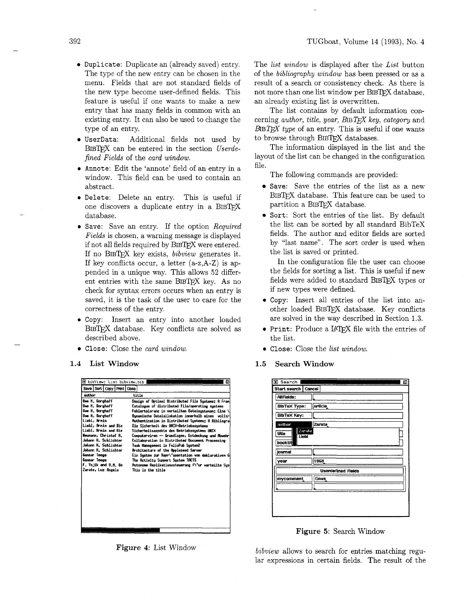- Duplicate: Duplicate an (already saved) entry. The type of the new entry can be chosen in the menu. Fields that are not standard fields of the new type become user-defined fields. This feature is useful if one wants to make a new entry that has many fields in common with an existing entry. It can also be used to change the type of an entry.
- · UserData: Additional fields not used by BIBTFX can be entered in the section Userdefined Fields of the card window.
- Annote: Edit the 'annote' field of an entry in a window. This field can be used to contain an abstract.
- Delete: Delete an entry. This is useful if one discovers a duplicate entry in a BIBTFX database.
- Save: Save an entry. If the option Required *Fields* is chosen, a warning message is displayed if not all fields required by BIBTEX were entered. If no BIBTEX key exists, bibview generates it. If key conflicts occur, a letter  $(a-z,A-Z)$  is appended in a unique way. This allows 52 different entries with the same BIBTFX key. As no check for syntax errors occurs when an entry is saved, it is the task of the user to care for the correctness of the entry.
- Copy: Insert an entry into another loaded BIBTFX database. Key conflicts are solved as described above.
- Close: Close the card window.
- 1.4 List Window



Figure 4: List Window

The *list window* is displayed after the *List* button of the *bibliography window* has been pressed or as a result of a search or consistency check. As there is not more than one list window per BIBTFX database, an already existing list is overwritten.

The list contains by default information concerning *author*, *title*, *year*,  $BIBTFX$  *key*, *category* and  $BIBTFX$  type of an entry. This is useful if one wants to browse through BIBTFX databases.

The information displayed in the list and the layout of the list can be changed in the configuration file.

- The following commands are provided:
- Save: Save the entries of the list as a new BIBTFX database. This feature can be used to partition a BIBTFX database.
- Sort: Sort the entries of the list. By default the list can be sorted by all standard BibTeX fields. The author and editor fields are sorted by "last name". The sort order is used when the list is saved or printed.

In the configuration file the user can choose the fields for sorting a list. This is useful if new fields were added to standard BIBTFX types or if new types were defined.

- Copy: Insert all entries of the list into another loaded BIBTFX database. Key conflicts are solved in the way described in Section 1.3.
- Print: Produce a IATFX file with the entries of the list.
- Close: Close the list window.
- $1.5$ **Search Window**



Figure 5: Search Window

*bibview* allows to search for entries matching regular expressions in certain fields. The result of the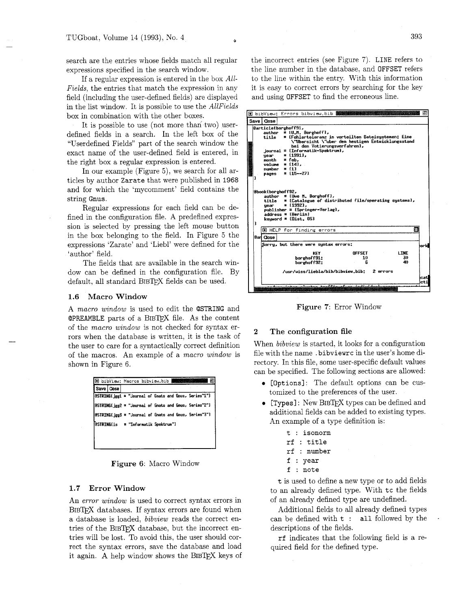search are the entries whose fields match all regular expressions specified in the search window.

If a regular expression is entered in the box *All-Fields,* the entries that match the expression in any field (including the user-defined fields) are displayed in the list window. It is possible to use the *AllFields*  box in combination with the other boxes.

It is possible to use (not more than two) userdefined fields in a search. In the left box of the "Userdefined Fields" part of the search window the exact name of the user-defined field is entered, in the right box a regular expression is entered.

In our example (Figure 5), we search for all articles by author Zarate that were published in 1968 and for which the 'mycomment' field contains the string Gnus.

Regular expressions for each field can be defined in the configuration file. A predefined expression is selected by pressing the left mouse button in the box belonging to the field. In Figure 5 the expressions 'Zarate' and 'Liebl' were defined for the 'author' field.

The fields that are available in the search window can be defined in the configuration file. By default, all standard BIBTEX fields can be used.

## **1.6 Macro Window**

A *macro window* is used to edit the @STRING and **@PREAMBLE** parts of a BIBTEX file. As the content of the *macro window* is not checked for syntax errors when the database is written, it is the task of the user to care for a syntactically correct definition of the macros. An example of a *macro window* is shown in Figure 6.

| Save   Close |  |                                     |  |  |                                                        |  |
|--------------|--|-------------------------------------|--|--|--------------------------------------------------------|--|
|              |  |                                     |  |  | @STRING{jgg1 = "Journal of Gnats and Gnus, Series"1"}  |  |
|              |  |                                     |  |  | [BSTRINGE gg2 = "Journal of Gnats and Gnus, Series"2"} |  |
|              |  |                                     |  |  | @STRINGE_jgg3 = "Journal of Gnats and Gnus, Series"3"} |  |
|              |  | @STRING[is = "Informatik Spektrum"] |  |  |                                                        |  |

**Figure 6:** Macro Window

### **1.7 Error Window**

An *error window* is used to correct syntax errors in BIBTEX databases. If syntax errors are found when a database is loaded, *bibview* reads the correct entries of the BIBTFX database, but the incorrect entries will be lost. To avoid this, the user should correct the syntax errors, save the database and load it again. A help window shows the BIBTEX keys of the incorrect entries (see Figure 7). LINE refers to the line number in the database, and OFFSET refers to the line within the entry. With this information it is easy to correct errors by searching for the key and using OFFSET to find the erroneous line.

|   | 间 bibView: Errors bibview.bib 攤攤                                                                                                                                                                                                                                                                                                                                                                                                                                                                                                                                                                            | Ρ          |
|---|-------------------------------------------------------------------------------------------------------------------------------------------------------------------------------------------------------------------------------------------------------------------------------------------------------------------------------------------------------------------------------------------------------------------------------------------------------------------------------------------------------------------------------------------------------------------------------------------------------------|------------|
|   | Save   Close                                                                                                                                                                                                                                                                                                                                                                                                                                                                                                                                                                                                |            |
|   | @article{borghoff91,<br>$\text{author} = \{U, H, Borehoff}\}.$<br>= {Fehlertoleranz in verteilten Dateisystemen: Eine<br>title<br>\"Ubersicht \"uber den heutigen Entwicklungsstand<br>bei den Votierungsverfahren},<br>$journal = \{Information\text{-}Spektrun}\}$<br>$year = £19913.$<br>$x$ <sub>n</sub> $x$ $y$ $y$ $z$ $f$ $e$ $b$ $x$<br>volume = $143.$<br>$number = £13$<br>pages = $15--273$<br><b>Bbook Eborghoff92,</b><br>$\text{author} = \text{[Use N. Berehoff]},$<br>title = {Catalogue of distributed file/operating systems},<br>$=$ {1992},<br>uear<br>$publicher = {Springer-Verlag};$ |            |
| t | $address = fBerlini$<br>keyword = $[Dist. 0S]$<br>M HELP for finding errors                                                                                                                                                                                                                                                                                                                                                                                                                                                                                                                                 | п          |
|   | Barl Close i                                                                                                                                                                                                                                                                                                                                                                                                                                                                                                                                                                                                |            |
|   | Sorry, but there were syntax errors:                                                                                                                                                                                                                                                                                                                                                                                                                                                                                                                                                                        | iork       |
|   | <b>LTNE</b><br><b>OFFSET</b><br><b>KFY</b><br>30<br>10<br>borehoff91:<br>40<br>Б<br>borehoff92:                                                                                                                                                                                                                                                                                                                                                                                                                                                                                                             |            |
|   | /usr/wiss/liebla/bib/bibview.bib: 2 errors                                                                                                                                                                                                                                                                                                                                                                                                                                                                                                                                                                  | cat<br>rti |

**Figure 7:** Error Window

### **2 The configuration file**

When *bibview* is started, it looks for a configuration file with the name . bibviewrc in the user's home directory. In this file, some user-specific default values can be specified. The following sections are allowed:

- **0** [Options]: The default options can be customized to the preferences of the user.
- [Types]: New BIBTFX types can be defined and additional fields can be added to existing types. An example of a type definition is:
	- t : isonorm
	- rf : title
	- rf : number
	- f : year
	- <sup>f</sup>: note

t is used to define a new type or to add fields to an already defined type. With tc the fields of an already defined type are undefined.

Additional fields to all already defined types can be defined with  $t :$  all followed by the descriptions of the fields.

rf indicates that the following field is a required field for the defined type.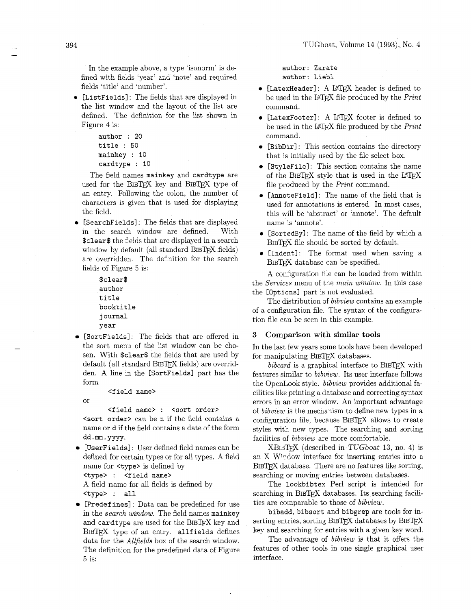In the example above, a type 'isonorm' is defined with fields 'year' and 'note' and required fields 'title' and 'number'.

• [ListFields]: The fields that are displayed in the list window and the layout of the list are defined. The definition for the list shown in Figure 4 is:

```
author : 20
title : 50 
mainkey : 10 
cardtype : 10
```
The field names mainkey and cardtype are used for the BIBTFX key and BIBTFX type of an entry. Following the colon, the number of characters is given that is used for displaying the field.

• [SearchFields]: The fields that are displayed in the search window are defined. With \$clear\$ the fields that are displayed in a search window by default (all standard BIBTEX fields) are overridden. The definition for the search fields of Figure *5* is:

```
$clear$ 
author 
title 
booktitle 
j ournal 
year
```
[SortFields] : The fields that are offered in the sort menu of the list window can be chosen. With \$clear\$ the fields that are used by default (all standard BIBTFX fields) are overridden. A line in the [SortFields] part has the form

<field name>

or

<field name> : <sort order> <sort order> can be n if the field contains a name or d if the field contains a date of the form dd .mm. yyyy.

• [UserFields]: User defined field names can be defined for certain types or for all types. A field name for <type> is defined by

<type> : <field name>

A field name for all fields is defined by <type> : all

[Predefines] : Data can be predefined for use in the *search window.* The field names mainkey and cardtype are used for the BIBTFX key and  $BIBTrX$  type of an entry. allfields defines data for the *Allfields* box of the search window. The definition for the predefined data of Figure *5* is:

author: Zarate author: Liebl

- [LatexHeader]: A LATEX header is defined to be used in the LAT<sub>F</sub>X file produced by the *Print* command.
- [LatexFooter]: A LAT<sub>E</sub>X footer is defined to be used in the LAT<sub>E</sub>X file produced by the *Print* command.
- [BibDir]: This section contains the directory that is initially used by the file select box.
- [StyleFile]: This section contains the name of the BIBTFX style that is used in the LATFX file produced by the *Print* command.
- [AnnoteField]: The name of the field that is used for annotations is entered. In most cases, this will be 'abstract' or 'annote'. The default name is 'annote'.
- [SortedBy] : The name of the field by which a BIBTFX file should be sorted by default.
- [Indent]: The format used when saving a BIBTFX database can be specified.

the *Services* menu of the *main window*. In this case the [Options] part is not evaluated. A configuration file can be loaded from within

The distribution of *bibview* contains an example of a configuration file. The syntax of the configuration file can be seen in this example.

# **3** Comparison with similar tools

In the last few years some tools have been developed for manipulating BIBTFX databases.

*bibcard* is a graphical interface to BIBTFX with features similar to *bibview*. Its user interface follows the OpenLook style. *bibview* provides additional facilities like printing a database and correcting syntax errors in an error window. An important advantage of *bibview* is the mechanism to define new types in a configuration file, because  $BIBTEX$  allows to create styles with new types. The searching and sorting facilities of *bibview* are more comfortable.

 $XBIBTFX$  (described in TUGboat 13, no. 4) is an X Window interface for inserting entries into a BIBTFX database. There are no features like sorting, searching or moving entries between databases.

The lookbibtex Per1 script is intended for searching in BIBTFX databases. Its searching facilities are comparable to those of *bibview*.

bibadd, bibsort and bibgrep are tools for inserting entries, sorting  $BIBTrX$  databases by  $BIBTrX$ key and searching for entries with a given key word.

The advantage of *bibview* is that it offers the features of other tools in one single graphical user interface.